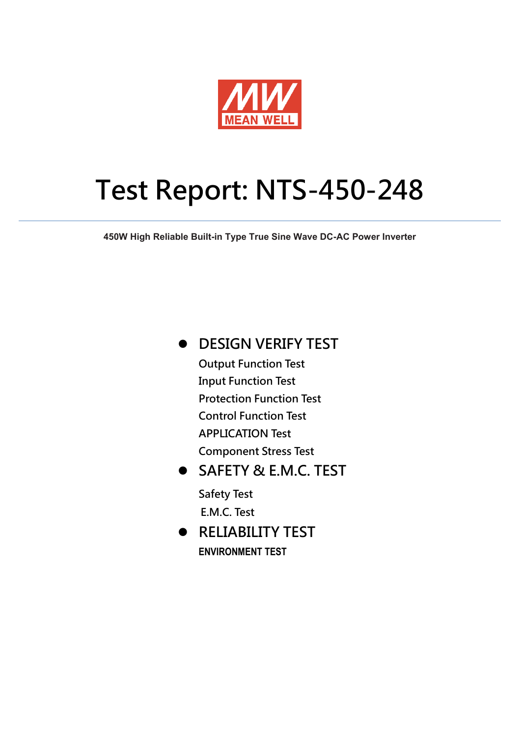

# **Test Report: NTS-450-248**

**450W High Reliable Built-in Type True Sine Wave DC-AC Power Inverter**

**DESIGN VERIFY TEST**

 **Output Function Test Input Function Test Protection Function Test Control Function Test APPLICATION Test Component Stress Test** 

 **SAFETY & E.M.C. TEST Safety Test E.M.C. Test** 

 **RELIABILITY TEST ENVIRONMENT TEST**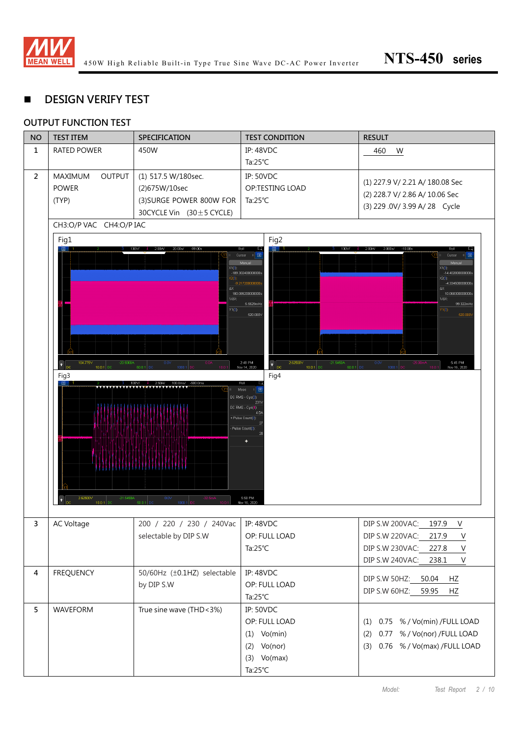

## **DESIGN VERIFY TEST**

#### **OUTPUT FUNCTION TEST**

| <b>NO</b>      | <b>TEST ITEM</b>                                                                             | <b>SPECIFICATION</b>                                                                                                              | <b>TEST CONDITION</b>                                                                                                                                                                                                                               | <b>RESULT</b>                                                                                                                                                                                       |
|----------------|----------------------------------------------------------------------------------------------|-----------------------------------------------------------------------------------------------------------------------------------|-----------------------------------------------------------------------------------------------------------------------------------------------------------------------------------------------------------------------------------------------------|-----------------------------------------------------------------------------------------------------------------------------------------------------------------------------------------------------|
| $\mathbf{1}$   | <b>RATED POWER</b>                                                                           | 450W                                                                                                                              | <b>IP: 48VDC</b>                                                                                                                                                                                                                                    | 460<br>W                                                                                                                                                                                            |
|                |                                                                                              |                                                                                                                                   | Ta: $25^{\circ}$ C                                                                                                                                                                                                                                  |                                                                                                                                                                                                     |
| $\overline{2}$ | <b>OUTPUT</b><br><b>MAXIMUM</b><br><b>POWER</b><br>(TYP)                                     | (1) 517.5 W/180sec.<br>(2)675W/10sec<br>(3) SURGE POWER 800W FOR<br>30CYCLE Vin $(30 \pm 5$ CYCLE)                                | <b>IP: 50VDC</b><br>OP:TESTING LOAD<br>Ta: $25^{\circ}$ C                                                                                                                                                                                           | (1) 227.9 V/ 2.21 A/ 180.08 Sec<br>(2) 228.7 V/ 2.86 A/ 10.06 Sec<br>(3) 229 .0V/ 3.99 A/ 28 Cycle                                                                                                  |
|                | CH3:O/P VAC CH4:O/P IAC                                                                      |                                                                                                                                   |                                                                                                                                                                                                                                                     |                                                                                                                                                                                                     |
|                | Fig1<br>104.775V<br>$-20.5000A$<br>$\left\  \cdot \right\ _{\text{DC}}$<br>10.0:1 DC<br>Fig3 | 2.00A/<br>20.00 s/<br>$-99.00s$<br>Rol<br>X1(3):<br>ΔX<br>1/AX:<br>$Y1(3)$ :<br>$0.0\vee$<br>1000:1<br>50.01<br>100.0ms/<br>2.50A | Fig2<br>□日<br>Cursor<br>$-189.302400000000$<br>$-9.217200000000$<br>180.085200000000s<br>5.5529mHz<br>520.000V<br>2:48 PM<br>2.62500V<br>$-21.5450A$<br>$\bullet$<br><b>DC</b><br>Nov 14, 2020<br>$10.0:1$ DC<br>50.0:<br>Fig4<br>Rell<br>Meas<br>Æ | 2.000s/<br>Cursor<br>X1(3)<br>$-14.4028000000000$<br>X2(3)<br>-4.334500000000<br>۵X:<br>10.068300000000s<br>1/AX:<br>99.322mHz<br>$Y1(3)$ :<br>520.000<br>5:45 PM<br>0.0V<br>1000:1<br>Nov 16, 2020 |
|                | 2.62500V<br>$-21.5450A$<br>$\bullet$<br>10.0:1 DO                                            | 0.0V<br>$-32.5m$<br>1000:1<br>50.01                                                                                               | DC RMS - Cyc(3):<br>231<br>DC RMS - Cyc(4):<br>4 <sub>0</sub><br>+ Pulse Count(3):<br>Pulse Count(3):<br>5:50 PM<br>Nov 16, 2020                                                                                                                    |                                                                                                                                                                                                     |
| 3              | AC Voltage                                                                                   | 200 / 220 / 230 / 240Vac   IP: 48VDC<br>selectable by DIP S.W                                                                     | OP: FULL LOAD<br>Ta: $25^{\circ}$ C                                                                                                                                                                                                                 | DIP S.W 200VAC:<br>197.9<br>V<br>DIP S.W 220VAC: 217.9<br>$\vee$<br>DIP S.W 230VAC: 227.8<br>$\mathsf V$<br>DIP S.W 240VAC: 238.1<br>$\vee$                                                         |
| $\overline{4}$ | <b>FREQUENCY</b>                                                                             | 50/60Hz (±0.1HZ) selectable<br>by DIP S.W                                                                                         | <b>IP: 48VDC</b><br>OP: FULL LOAD<br>Ta: $25^{\circ}$ C                                                                                                                                                                                             | DIP S.W 50HZ: 50.04<br>HZ<br>DIP S.W 60HZ: 59.95<br>HZ                                                                                                                                              |
| $5\phantom{a}$ | WAVEFORM                                                                                     | True sine wave (THD<3%)                                                                                                           | <b>IP: 50VDC</b><br>OP: FULL LOAD<br>$(1)$ Vo(min)<br>$(2)$ Vo(nor)<br>$(3)$ Vo(max)<br>Ta: $25^{\circ}$ C                                                                                                                                          | (1) 0.75 % / Vo(min) / FULL LOAD<br>0.77 % / Vo(nor) /FULL LOAD<br>(2)<br>(3) 0.76 % / Vo(max) / FULL LOAD                                                                                          |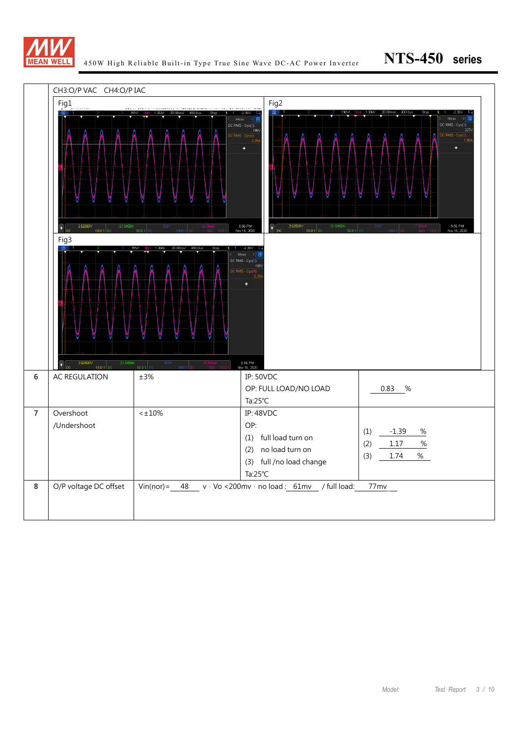

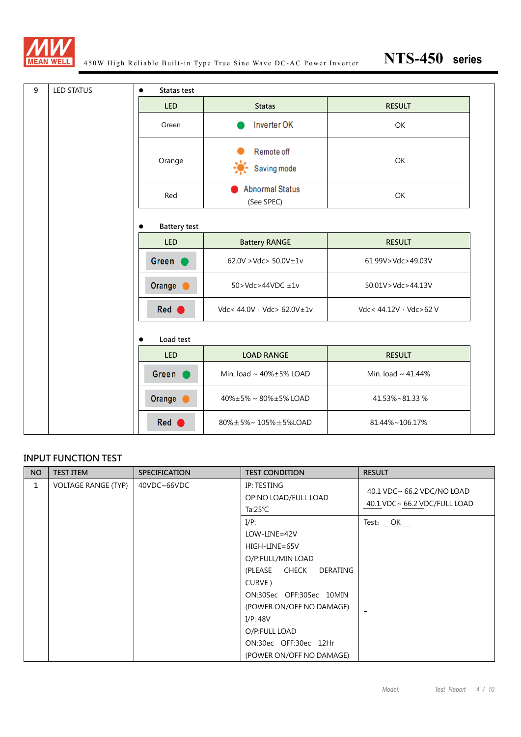

| 9<br><b>LED STATUS</b> | Statas test<br>$\bullet$ |                                      |                        |
|------------------------|--------------------------|--------------------------------------|------------------------|
|                        | <b>LED</b>               | <b>Statas</b>                        | <b>RESULT</b>          |
|                        | Green                    | Inverter OK                          | OK                     |
|                        | Orange                   | <b>Remote off</b><br>Saving mode     | OK                     |
|                        | Red                      | <b>Abnormal Status</b><br>(See SPEC) | OK                     |
|                        | <b>Battery test</b>      |                                      |                        |
|                        | <b>LED</b>               | <b>Battery RANGE</b>                 | <b>RESULT</b>          |
|                        | Green                    | $62.0V > Vdc > 50.0V \pm 1v$         | 61.99V>Vdc>49.03V      |
|                        | Orange                   | $50 > Vdc > 44 VDC \pm 1V$           | 50.01V>Vdc>44.13V      |
|                        | Red (                    | Vdc< 44.0V · Vdc> 62.0V±1v           | Vdc< 44.12V · Vdc>62 V |
|                        | Load test                |                                      |                        |
|                        | <b>LED</b>               | <b>LOAD RANGE</b>                    | <b>RESULT</b>          |
|                        | Green (                  | Min. load ~ 40%±5% LOAD              | Min. load ~ 41.44%     |
|                        | Orange (                 | 40%±5%~80%±5%LOAD                    | 41.53%~81.33%          |
|                        | Red                      | 80%±5%~105%±5%LOAD                   | 81.44%~106.17%         |

#### **INPUT FUNCTION TEST**

| <b>NO</b> | <b>TEST ITEM</b>           | <b>SPECIFICATION</b> | <b>TEST CONDITION</b>                                                                                                                                                                                                                             | <b>RESULT</b>                                              |
|-----------|----------------------------|----------------------|---------------------------------------------------------------------------------------------------------------------------------------------------------------------------------------------------------------------------------------------------|------------------------------------------------------------|
| 1         | <b>VOLTAGE RANGE (TYP)</b> | 40VDC~66VDC          | IP: TESTING<br>OP:NO LOAD/FULL LOAD<br>Ta: $25^{\circ}$ C                                                                                                                                                                                         | 40.1 VDC~ 66.2 VDC/NO LOAD<br>40.1 VDC~ 66.2 VDC/FULL LOAD |
|           |                            |                      | $I/P$ :<br>$LOW$ -LINE=42V<br>HIGH-LINE=65V<br>O/P:FULL/MIN LOAD<br>(PLEASE CHECK<br>DERATING<br>CURVE)<br>ON:30Sec OFF:30Sec 10MIN<br>(POWER ON/OFF NO DAMAGE)<br>I/P: 48V<br>O/P:FULL LOAD<br>ON:30ec OFF:30ec 12Hr<br>(POWER ON/OFF NO DAMAGE) | Test: OK                                                   |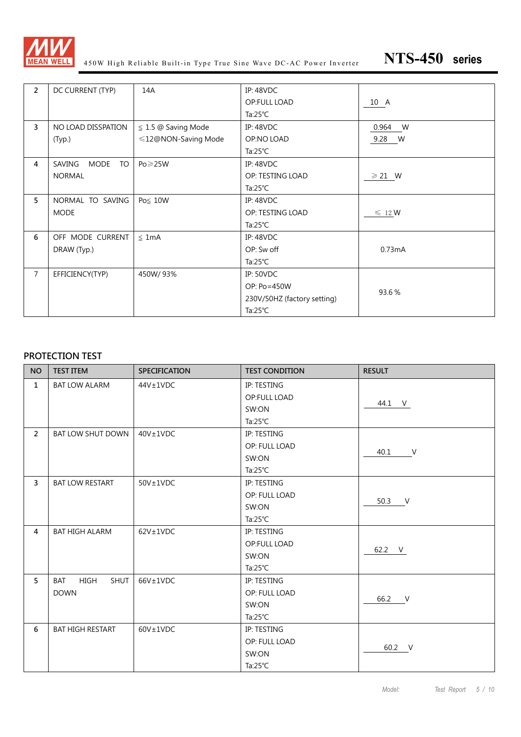

450W High Reliable Built-in Type True Sine Wave DC-AC Power Inverter **NTS-450 series**

| $\overline{2}$ | DC CURRENT (TYP)            | 14A                      | <b>IP: 48VDC</b>            |                  |
|----------------|-----------------------------|--------------------------|-----------------------------|------------------|
|                |                             |                          | OP:FULL LOAD                | 10 A             |
|                |                             |                          | Ta: $25^{\circ}$ C          |                  |
| $\overline{3}$ | NO LOAD DISSPATION          | $\leq$ 1.5 @ Saving Mode | <b>IP: 48VDC</b>            | 0.964 W          |
|                | (Typ.)                      | ≤12@NON-Saving Mode      | OP:NO LOAD                  | 9.28 W           |
|                |                             |                          | Ta: $25^{\circ}$ C          |                  |
| 4              | MODE<br>SAVING<br><b>TO</b> | $Po \geq 25W$            | <b>IP: 48VDC</b>            |                  |
|                | <b>NORMAL</b>               |                          | OP: TESTING LOAD            | $\geqslant$ 21 W |
|                |                             |                          | Ta: $25^{\circ}$ C          |                  |
| 5              | NORMAL TO SAVING            | Po≦ 10W                  | <b>IP: 48VDC</b>            |                  |
|                | <b>MODE</b>                 |                          | OP: TESTING LOAD            | $\leq 12$ W      |
|                |                             |                          | Ta: $25^{\circ}$ C          |                  |
| 6              | OFF MODE CURRENT            | $\leq 1mA$               | <b>IP: 48VDC</b>            |                  |
|                | DRAW (Typ.)                 |                          | OP: Sw off                  | 0.73mA           |
|                |                             |                          | Ta: $25^{\circ}$ C          |                  |
| $\overline{7}$ | EFFICIENCY(TYP)             | 450W/93%                 | <b>IP: 50VDC</b>            |                  |
|                |                             |                          | OP: Po=450W                 |                  |
|                |                             |                          | 230V/50HZ (factory setting) | 93.6%            |
|                |                             |                          | Ta: $25^{\circ}$ C          |                  |

#### **PROTECTION TEST**

| <b>NO</b>      | <b>TEST ITEM</b>                  | <b>SPECIFICATION</b> | <b>TEST CONDITION</b> | <b>RESULT</b> |
|----------------|-----------------------------------|----------------------|-----------------------|---------------|
| $\mathbf{1}$   | <b>BAT LOW ALARM</b>              | $44V \pm 1VDC$       | IP: TESTING           |               |
|                |                                   |                      | OP:FULL LOAD          | 44.1 V        |
|                |                                   |                      | SW:ON                 |               |
|                |                                   |                      | Ta: $25^{\circ}$ C    |               |
| $\overline{2}$ | <b>BAT LOW SHUT DOWN</b>          | 40V±1VDC             | IP: TESTING           |               |
|                |                                   |                      | OP: FULL LOAD         | $\vee$        |
|                |                                   |                      | SW:ON                 | 40.1          |
|                |                                   |                      | Ta: $25^{\circ}$ C    |               |
| $\overline{3}$ | <b>BAT LOW RESTART</b>            | $50V \pm 1VDC$       | IP: TESTING           |               |
|                |                                   |                      | OP: FULL LOAD         |               |
|                |                                   |                      | SW:ON                 | 50.3 V        |
|                |                                   |                      | Ta: $25^{\circ}$ C    |               |
| $\overline{4}$ | <b>BAT HIGH ALARM</b>             | $62V \pm 1VDC$       | IP: TESTING           |               |
|                |                                   |                      | OP:FULL LOAD          | 62.2 V        |
|                |                                   |                      | SW:ON                 |               |
|                |                                   |                      | Ta: $25^{\circ}$ C    |               |
| 5              | HIGH<br><b>SHUT</b><br><b>BAT</b> | 66V±1VDC             | IP: TESTING           |               |
|                | <b>DOWN</b>                       |                      | OP: FULL LOAD         |               |
|                |                                   |                      | SW:ON                 | 66.2 V        |
|                |                                   |                      | Ta: $25^{\circ}$ C    |               |
| 6              | <b>BAT HIGH RESTART</b>           | $60V \pm 1VDC$       | IP: TESTING           |               |
|                |                                   |                      | OP: FULL LOAD         | 60.2 V        |
|                |                                   |                      | SW:ON                 |               |
|                |                                   |                      | Ta: $25^{\circ}$ C    |               |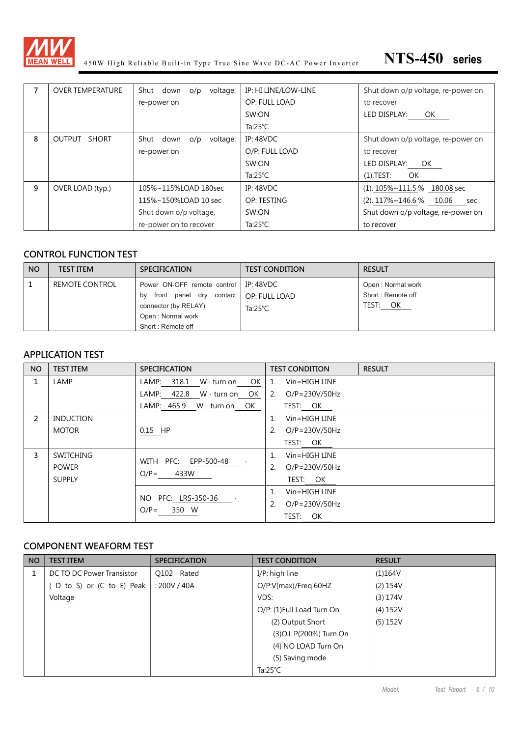

450W High Reliable Built-in Type True Sine Wave DC-AC Power Inverter **NTS-450 series**

| 7 | <b>OVER TEMPERATURE</b> | Shut down o/p voltage:    | IP: HI LINE/LOW-LINE | Shut down o/p voltage, re-power on |
|---|-------------------------|---------------------------|----------------------|------------------------------------|
|   |                         | re-power on               | OP: FULL LOAD        | to recover                         |
|   |                         |                           | SW:ON                | LED DISPLAY:<br>OK                 |
|   |                         |                           | Ta: $25^{\circ}$ C   |                                    |
| 8 | OUTPUT SHORT            | Shut down o/p<br>voltage: | <b>IP: 48VDC</b>     | Shut down o/p voltage, re-power on |
|   |                         | re-power on               | O/P: FULL LOAD       | to recover                         |
|   |                         |                           | SW:ON                | LED DISPLAY: OK                    |
|   |                         |                           | Ta: $25^{\circ}$ C   | (1).TEST:<br>OK                    |
| 9 | OVER LOAD (typ.)        | 105%~115%LOAD 180sec      | IP: $48$ VDC         | $(1)$ . 105%~111.5 % 180.08 sec    |
|   |                         | 115%~150%LOAD 10 sec      | OP: TESTING          | $(2)$ . 117%~146.6 % 10.06<br>sec  |
|   |                         | Shut down o/p voltage,    | SW:ON                | Shut down o/p voltage, re-power on |
|   |                         | re-power on to recover    | Ta: $25^{\circ}$ C   | to recover                         |

#### **CONTROL FUNCTION TEST**

| <b>NO</b> | <b>TEST ITEM</b> | <b>SPECIFICATION</b>          | <b>TEST CONDITION</b> | <b>RESULT</b>     |
|-----------|------------------|-------------------------------|-----------------------|-------------------|
|           | REMOTE CONTROL   | Power ON-OFF remote control   | IP: $48$ VDC          | Open: Normal work |
|           |                  | front panel dry contact<br>bv | OP: FULL LOAD         | Short: Remote off |
|           |                  | connector (by RELAY)          | Ta:25 $°C$            | TEST: OK          |
|           |                  | Open: Normal work             |                       |                   |
|           |                  | Short: Remote off             |                       |                   |

#### **APPLICATION TEST**

| <b>NO</b>      | <b>TEST ITEM</b> | <b>SPECIFICATION</b>                   | <b>RESULT</b><br><b>TEST CONDITION</b> |
|----------------|------------------|----------------------------------------|----------------------------------------|
| 1              | LAMP             | 318.1 $W \cdot$ turn on OK<br>LAMP:    | Vin=HIGH LINE<br>1.                    |
|                |                  | LAMP: $422.8$ W turn on OK             | $\overline{2}$ .<br>$O/P = 230V/50Hz$  |
|                |                  | LAMP: 465.9<br>$W \cdot$ turn on<br>OK | TEST: OK                               |
| $\overline{2}$ | <b>INDUCTION</b> |                                        | Vin=HIGH LINE<br>$\mathbf{1}$ .        |
|                | <b>MOTOR</b>     | 0.15 HP                                | 2.<br>$O/P = 230V/50Hz$                |
|                |                  |                                        | TEST: OK                               |
| 3              | <b>SWITCHING</b> | WITH PFC: EPP-500-48                   | $V$ in=HIGH LINE<br>1.                 |
|                | <b>POWER</b>     | 433W<br>$O/P=$                         | 2.<br>$O/P = 230V/50Hz$                |
|                | <b>SUPPLY</b>    |                                        | TEST: OK                               |
|                |                  |                                        | $V$ in=HIGH LINE<br>$\mathbf{1}$ .     |
|                |                  | PFC: LRS-350-36<br>NO.                 | 2.<br>$O/P = 230V/50Hz$                |
|                |                  | 350 W<br>$O/P=$                        | TEST: OK                               |

#### **COMPONENT WEAFORM TEST**

| <b>NO</b> | <b>TEST ITEM</b>          | <b>SPECIFICATION</b> | <b>TEST CONDITION</b>      | <b>RESULT</b> |
|-----------|---------------------------|----------------------|----------------------------|---------------|
|           | DC TO DC Power Transistor | Q102 Rated           | I/P: high line             | (1)164V       |
|           | D to S) or (C to E) Peak  | : 200V / 40A         | O/P:V(max)/Freq 60HZ       | (2) 154V      |
|           | Voltage                   |                      | VDS:                       | (3) 174V      |
|           |                           |                      | O/P: (1) Full Load Turn On | (4) 152V      |
|           |                           |                      | (2) Output Short           | (5) 152V      |
|           |                           |                      | (3) O.L. P(200%) Turn On   |               |
|           |                           |                      | (4) NO LOAD Turn On        |               |
|           |                           |                      | (5) Saving mode            |               |
|           |                           |                      | Ta: $25^{\circ}$ C         |               |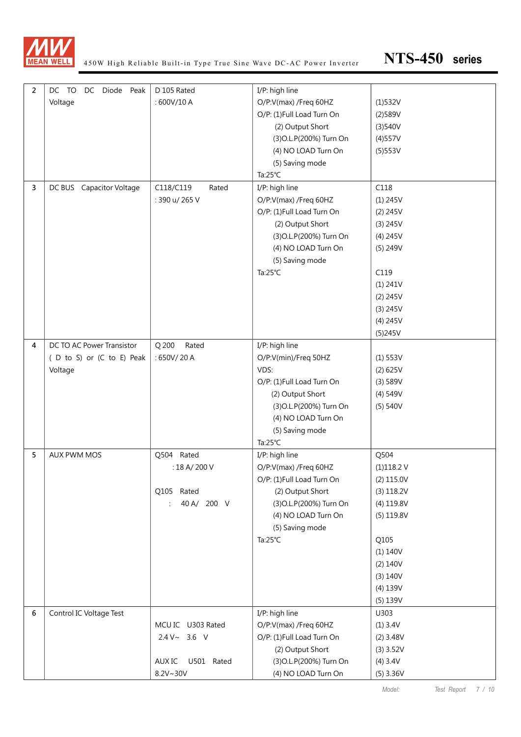

| $\overline{2}$ | DC TO<br>DC Diode Peak      | D 105 Rated          | I/P: high line            |             |
|----------------|-----------------------------|----------------------|---------------------------|-------------|
|                | Voltage                     | : 600V/10 A          | O/P:V(max) /Freq 60HZ     | (1)532V     |
|                |                             |                      | O/P: (1)Full Load Turn On | (2)589V     |
|                |                             |                      | (2) Output Short          | (3)540V     |
|                |                             |                      | (3) O.L. P(200%) Turn On  | (4)557V     |
|                |                             |                      | (4) NO LOAD Turn On       | (5)553V     |
|                |                             |                      | (5) Saving mode           |             |
|                |                             |                      | Ta:25°C                   |             |
| 3              | Capacitor Voltage<br>DC BUS | C118/C119<br>Rated   | I/P: high line            | C118        |
|                |                             | : 390 u/ 265 V       | O/P:V(max) /Freq 60HZ     | $(1)$ 245V  |
|                |                             |                      | O/P: (1)Full Load Turn On | $(2)$ 245V  |
|                |                             |                      | (2) Output Short          | (3) 245V    |
|                |                             |                      | (3) O.L. P(200%) Turn On  | (4) 245V    |
|                |                             |                      | (4) NO LOAD Turn On       | (5) 249V    |
|                |                             |                      | (5) Saving mode           |             |
|                |                             |                      | Ta:25°C                   | C119        |
|                |                             |                      |                           | (1) 241V    |
|                |                             |                      |                           | $(2)$ 245V  |
|                |                             |                      |                           | (3) 245V    |
|                |                             |                      |                           | $(4)$ 245V  |
|                |                             |                      |                           | (5)245V     |
| 4              | DC TO AC Power Transistor   | Q 200<br>Rated       | I/P: high line            |             |
|                | (D to S) or (C to E) Peak   | : 650V/20A           | O/P:V(min)/Freq 50HZ      | $(1)$ 553V  |
|                | Voltage                     |                      | VDS:                      | (2) 625V    |
|                |                             |                      | O/P: (1)Full Load Turn On | (3) 589V    |
|                |                             |                      | (2) Output Short          | (4) 549V    |
|                |                             |                      | (3) O.L. P(200%) Turn On  | (5) 540V    |
|                |                             |                      | (4) NO LOAD Turn On       |             |
|                |                             |                      | (5) Saving mode           |             |
|                |                             |                      | Ta:25°C                   |             |
| 5              | AUX PWM MOS                 | Q504 Rated           | I/P: high line            | Q504        |
|                |                             | : 18 A/ 200 V        | O/P:V(max) /Freq 60HZ     | (1)118.2V   |
|                |                             |                      | O/P: (1)Full Load Turn On | (2) 115.0V  |
|                |                             | Q105 Rated           | (2) Output Short          | (3) 118.2V  |
|                |                             | 40 A/ 200 V<br>÷     | (3) O.L. P(200%) Turn On  | (4) 119.8V  |
|                |                             |                      | (4) NO LOAD Turn On       | (5) 119.8V  |
|                |                             |                      | (5) Saving mode           |             |
|                |                             |                      | Ta: $25^{\circ}$ C        | Q105        |
|                |                             |                      |                           | (1) 140V    |
|                |                             |                      |                           | (2) 140V    |
|                |                             |                      |                           | (3) 140V    |
|                |                             |                      |                           | $(4)$ 139V  |
|                |                             |                      |                           | (5) 139V    |
| 6              | Control IC Voltage Test     |                      | I/P: high line            | U303        |
|                |                             | MCU IC U303 Rated    | O/P:V(max) /Freq 60HZ     | (1) 3.4V    |
|                |                             | $2.4 V \sim 3.6 V$   | O/P: (1)Full Load Turn On | $(2)$ 3.48V |
|                |                             |                      | (2) Output Short          | $(3)$ 3.52V |
|                |                             | U501 Rated<br>AUX IC | (3) O.L. P(200%) Turn On  | (4) 3.4V    |
|                |                             | 8.2V~30V             | (4) NO LOAD Turn On       | $(5)$ 3.36V |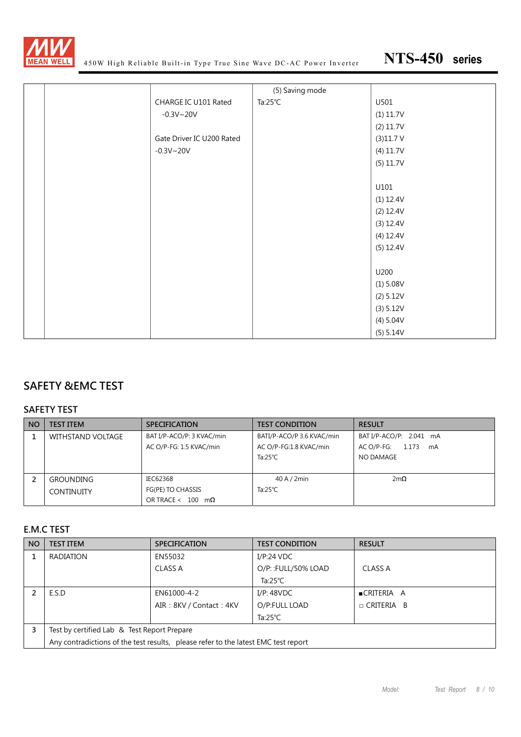

|  |                           | (5) Saving mode    |           |
|--|---------------------------|--------------------|-----------|
|  | CHARGE IC U101 Rated      | Ta: $25^{\circ}$ C | U501      |
|  | $-0.3V - 20V$             |                    | (1) 11.7V |
|  |                           |                    | (2) 11.7V |
|  | Gate Driver IC U200 Rated |                    | (3)11.7V  |
|  | $-0.3V - 20V$             |                    | (4) 11.7V |
|  |                           |                    | (5) 11.7V |
|  |                           |                    |           |
|  |                           |                    | U101      |
|  |                           |                    | (1) 12.4V |
|  |                           |                    | (2) 12.4V |
|  |                           |                    | (3) 12.4V |
|  |                           |                    | (4) 12.4V |
|  |                           |                    | (5) 12.4V |
|  |                           |                    |           |
|  |                           |                    | U200      |
|  |                           |                    | (1) 5.08V |
|  |                           |                    | (2) 5.12V |
|  |                           |                    | (3) 5.12V |
|  |                           |                    | (4) 5.04V |
|  |                           |                    | (5) 5.14V |

## **SAFETY &EMC TEST**

#### **SAFETY TEST**

| <b>NO</b> | <b>TEST ITEM</b>  | <b>SPECIFICATION</b>             | <b>TEST CONDITION</b>     | <b>RESULT</b>             |
|-----------|-------------------|----------------------------------|---------------------------|---------------------------|
|           | WITHSTAND VOLTAGE | BAT I/P-ACO/P: 3 KVAC/min        | BATI/P-ACO/P 3.6 KVAC/min | BAT I/P-ACO/P: 2.041 mA   |
|           |                   | AC O/P-FG: 1.5 KVAC/min          | AC O/P-FG:1.8 KVAC/min    | 1.173<br>AC O/P-FG:<br>mA |
|           |                   |                                  | Ta: $25^{\circ}$ C        | NO DAMAGE                 |
|           |                   |                                  |                           |                           |
|           | <b>GROUNDING</b>  | IEC62368                         | 40 A / 2min               | $2m\Omega$                |
|           | <b>CONTINUITY</b> | FG(PE) TO CHASSIS                | Ta:25 $°C$                |                           |
|           |                   | OR TRACE < $100 \text{ m}\Omega$ |                           |                           |

#### **E.M.C TEST**

| <b>NO</b> | <b>TEST ITEM</b>                                                                   | <b>SPECIFICATION</b>    | <b>TEST CONDITION</b> | <b>RESULT</b>       |  |
|-----------|------------------------------------------------------------------------------------|-------------------------|-----------------------|---------------------|--|
|           | <b>RADIATION</b>                                                                   | EN55032                 | I/P:24 VDC            |                     |  |
|           |                                                                                    | CLASS A                 | O/P::FULL/50% LOAD    | CLASS A             |  |
|           |                                                                                    |                         | Ta:25 $°C$            |                     |  |
|           | E.S.D                                                                              | EN61000-4-2             | I/P: 48VDC            | ■CRITERIA A         |  |
|           |                                                                                    | AIR: 8KV / Contact: 4KV | O/P:FULL LOAD         | $\sqcap$ CRITERIA B |  |
|           |                                                                                    |                         | Ta: $25^{\circ}$ C    |                     |  |
| 3         | Test by certified Lab & Test Report Prepare                                        |                         |                       |                     |  |
|           | Any contradictions of the test results, please refer to the latest EMC test report |                         |                       |                     |  |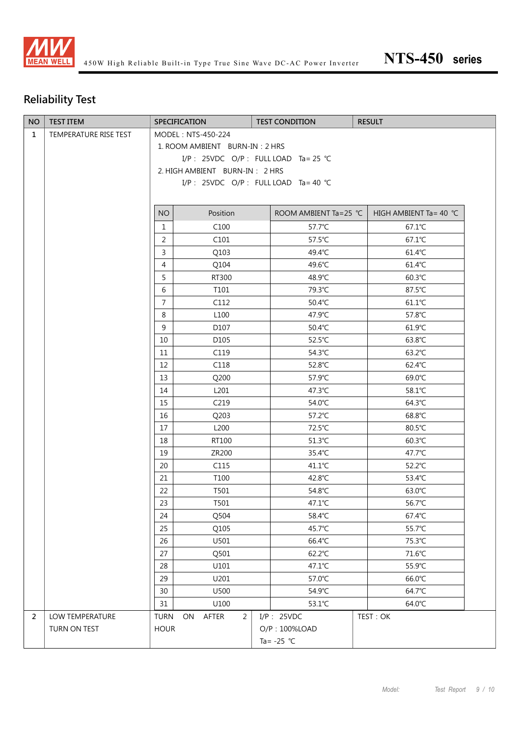

# **Reliability Test**

| <b>NO</b>      | <b>TEST ITEM</b>      |                                        | <b>SPECIFICATION</b> | <b>TEST CONDITION</b> | <b>RESULT</b>                     |
|----------------|-----------------------|----------------------------------------|----------------------|-----------------------|-----------------------------------|
| $\mathbf{1}$   | TEMPERATURE RISE TEST | MODEL: NTS-450-224                     |                      |                       |                                   |
|                |                       | 1. ROOM AMBIENT BURN-IN: 2 HRS         |                      |                       |                                   |
|                |                       | I/P: 25VDC O/P: FULL LOAD Ta= 25 °C    |                      |                       |                                   |
|                |                       | 2. HIGH AMBIENT BURN-IN: 2 HRS         |                      |                       |                                   |
|                |                       | I/P : 25VDC O/P : FULL LOAD Ta = 40 °C |                      |                       |                                   |
|                |                       |                                        |                      |                       |                                   |
|                |                       | <b>NO</b>                              | Position             | ROOM AMBIENT Ta=25 ℃  | HIGH AMBIENT Ta = 40 $^{\circ}$ C |
|                |                       | $\mathbf{1}$                           | C <sub>100</sub>     | 57.7°C                | $67.1^{\circ}$ C                  |
|                |                       | 2                                      | C101                 | 57.5°C                | 67.1°C                            |
|                |                       | 3                                      | Q103                 | 49.4°C                | $61.4^{\circ}$ C                  |
|                |                       | $\overline{4}$                         | Q104                 | 49.6°C                | 61.4°C                            |
|                |                       | 5                                      | RT300                | 48.9°C                | 60.3°C                            |
|                |                       | 6                                      | T101                 | 79.3°C                | 87.5°C                            |
|                |                       | $\overline{7}$                         | C112                 | 50.4°C                | $61.1^{\circ}$ C                  |
|                |                       | 8                                      | L <sub>100</sub>     | 47.9°C                | 57.8°C                            |
|                |                       | 9                                      | D107                 | 50.4°C                | $61.9^{\circ}$ C                  |
|                |                       | 10                                     | D105                 | 52.5°C                | 63.8°C                            |
|                |                       | 11                                     | C119                 | 54.3°C                | $63.2^{\circ}$ C                  |
|                |                       | 12                                     | C118                 | 52.8°C                | 62.4°C                            |
|                |                       | 13                                     | Q200                 | 57.9°C                | 69.0°C                            |
|                |                       | 14                                     | L201                 | 47.3°C                | 58.1°C                            |
|                |                       | 15                                     | C <sub>219</sub>     | 54.0°C                | 64.3°C                            |
|                |                       | 16                                     | Q203                 | $57.2^{\circ}$ C      | 68.8°C                            |
|                |                       | 17                                     | L200                 | 72.5°C                | 80.5°C                            |
|                |                       | 18                                     | RT100                | 51.3°C                | $60.3^{\circ}$ C                  |
|                |                       | 19                                     | ZR200                | 35.4°C                | 47.7 $°C$                         |
|                |                       | 20                                     | C115                 | 41.1°C                | 52.2°C                            |
|                |                       | 21                                     | T100                 | 42.8°C                | 53.4°C                            |
|                |                       | 22                                     | T501                 | 54.8°C                | 63.0°C                            |
|                |                       | 23                                     | T501                 | 47.1°C                | 56.7°C                            |
|                |                       | 24                                     | Q504                 | 58.4°C                | 67.4°C                            |
|                |                       | 25                                     | Q105                 | 45.7°C                | 55.7°C                            |
|                |                       | 26                                     | U501                 | 66.4°C                | 75.3°C                            |
|                |                       | 27                                     | Q501                 | 62.2°C                | 71.6°C                            |
|                |                       | 28                                     | U101                 | 47.1°C                | 55.9°C                            |
|                |                       | 29                                     | U201                 | 57.0°C                | 66.0°C                            |
|                |                       | 30                                     | U500                 | 54.9°C                | 64.7°C                            |
|                |                       | 31                                     | U100                 | 53.1°C                | 64.0°C                            |
| $\overline{2}$ | LOW TEMPERATURE       | <b>TURN</b>                            | ON<br>AFTER<br>2     | $I/P$ : 25VDC         | TEST: OK                          |
|                | TURN ON TEST          | <b>HOUR</b>                            |                      | O/P: 100%LOAD         |                                   |
|                |                       |                                        |                      | Ta= $-25$ °C          |                                   |